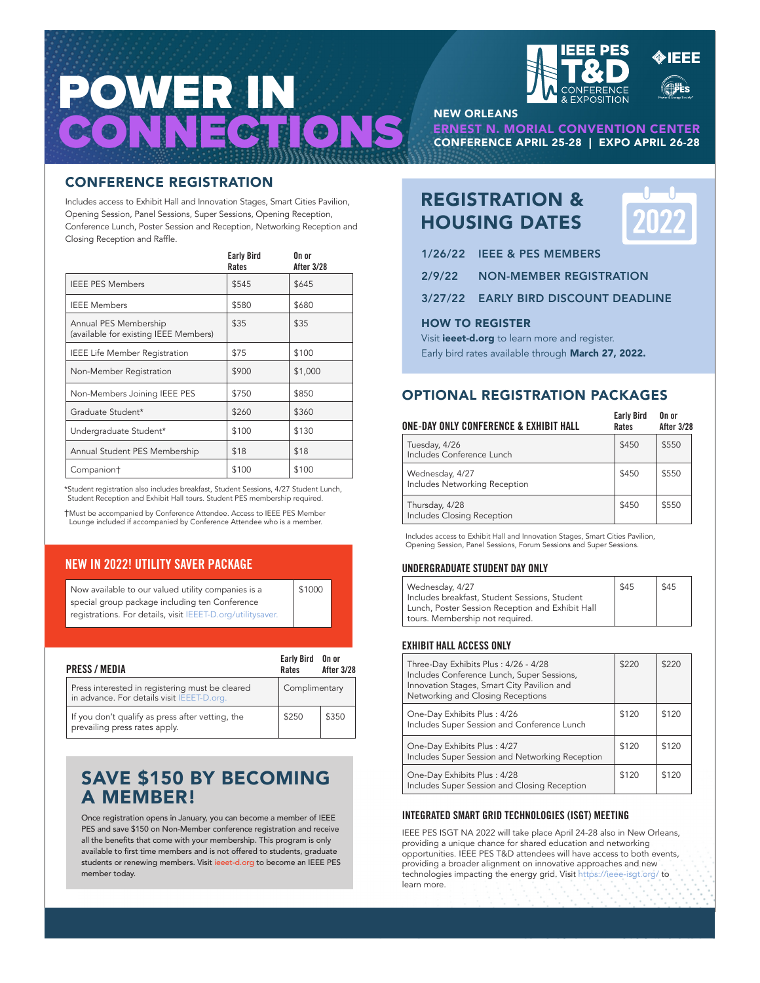



Includes access to Exhibit Hall and Innovation Stages, Smart Cities Pavilion, Opening Session, Panel Sessions, Super Sessions, Opening Reception, Conference Lunch, Poster Session and Reception, Networking Reception and Closing Reception and Raffle.

|                                                                | <b>Early Bird</b><br>Rates | On or<br><b>After 3/28</b> |
|----------------------------------------------------------------|----------------------------|----------------------------|
| <b>IEEE PES Members</b>                                        | \$545                      | \$645                      |
| <b>IEEE Members</b>                                            | \$580                      | \$680                      |
| Annual PES Membership<br>(available for existing IEEE Members) | \$35                       | \$35                       |
| <b>IEEE Life Member Registration</b>                           | \$75                       | \$100                      |
| Non-Member Registration                                        | \$900                      | \$1,000                    |
| Non-Members Joining IEEE PES                                   | \$750                      | \$850                      |
| Graduate Student*                                              | \$260                      | \$360                      |
| Undergraduate Student*                                         | \$100                      | \$130                      |
| Annual Student PES Membership                                  | \$18                       | \$18                       |
| Companion†                                                     | \$100                      | \$100                      |

\*Student registration also includes breakfast, Student Sessions, 4/27 Student Lunch, Student Reception and Exhibit Hall tours. Student PES membership required.

†Must be accompanied by Conference Attendee. Access to IEEE PES Member Lounge included if accompanied by Conference Attendee who is a member.

# **NEW IN 2022! UTILITY SAVER PACKAGE**

| \$1000 |
|--------|
|        |
|        |
|        |

| PRESS / MEDIA                                                                                 | Early Bird On or<br>Rates | <b>After 3/28</b> |
|-----------------------------------------------------------------------------------------------|---------------------------|-------------------|
| Press interested in registering must be cleared<br>in advance. For details visit IEEET-D.org. | Complimentary             |                   |
| If you don't qualify as press after vetting, the<br>prevailing press rates apply.             | \$250                     | \$350             |

# SAVE \$150 BY BECOMING A MEMBER!

Once registration opens in January, you can become a member of IEEE PES and save \$150 on Non-Member conference registration and receive all the benefits that come with your membership. This program is only available to first time members and is not offered to students, graduate students or renewing members. Visit ieeet-d.org to become an IEEE PES member today.



NEW ORLEANS

CONFERENCE APRIL 25-28 | EXPO APRIL 26-28 ERNEST N. MORIAL CONVENTION CENTER

# REGISTRATION & HOUSING DATES



- 1/26/22 IEEE & PES MEMBERS
- 2/9/22 NON-MEMBER REGISTRATION
- 3/27/22 EARLY BIRD DISCOUNT DEADLINE

# HOW TO REGISTER

Visit **ieeet-d.org** to learn more and register. Early bird rates available through March 27, 2022.

# OPTIONAL REGISTRATION PACKAGES

| ONE-DAY ONLY CONFERENCE & EXHIBIT HALL           | <b>Early Bird</b><br>Rates | On or<br>After 3/28 |
|--------------------------------------------------|----------------------------|---------------------|
| Tuesday, 4/26<br>Includes Conference Lunch       | \$450                      | \$550               |
| Wednesday, 4/27<br>Includes Networking Reception | \$450                      | \$550               |
| Thursday, 4/28<br>Includes Closing Reception     | \$450                      | \$550               |

Includes access to Exhibit Hall and Innovation Stages, Smart Cities Pavilion, Opening Session, Panel Sessions, Forum Sessions and Super Sessions.

# **UNDERGRADUATE STUDENT DAY ONLY**

| Wednesday, 4/27                                  | \$45 | \$45 |  |
|--------------------------------------------------|------|------|--|
| Includes breakfast, Student Sessions, Student    |      |      |  |
| Lunch, Poster Session Reception and Exhibit Hall |      |      |  |
| tours. Membership not required.                  |      |      |  |

# **EXHIBIT HALL ACCESS ONLY**

| Three-Day Exhibits Plus: 4/26 - 4/28<br>Includes Conference Lunch, Super Sessions,<br>Innovation Stages, Smart City Pavilion and<br>Networking and Closing Receptions | \$220 | \$220 |
|-----------------------------------------------------------------------------------------------------------------------------------------------------------------------|-------|-------|
| One-Day Exhibits Plus: 4/26<br>Includes Super Session and Conference Lunch                                                                                            | \$120 | \$120 |
| One-Day Exhibits Plus: 4/27<br>Includes Super Session and Networking Reception                                                                                        | \$120 | \$120 |
| One-Day Exhibits Plus: 4/28<br>Includes Super Session and Closing Reception                                                                                           | \$120 | \$120 |

# **INTEGRATED SMART GRID TECHNOLOGIES (ISGT) MEETING**

IEEE PES ISGT NA 2022 will take place April 24-28 also in New Orleans, providing a unique chance for shared education and networking opportunities. IEEE PES T&D attendees will have access to both events, providing a broader alignment on innovative approaches and new technologies impacting the energy grid. Visit https://ieee-isgt.org/ to learn more.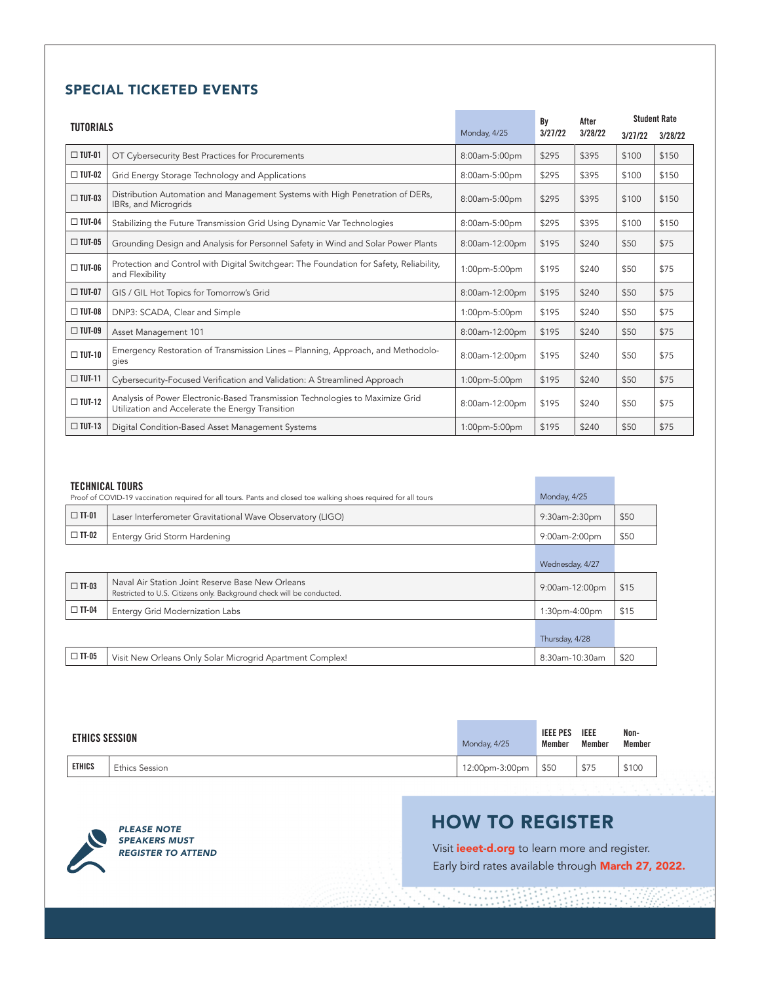# SPECIAL TICKETED EVENTS

| <b>TUTORIALS</b> |                                                                                                                                   |                | Bv      | After   | <b>Student Rate</b> |         |
|------------------|-----------------------------------------------------------------------------------------------------------------------------------|----------------|---------|---------|---------------------|---------|
|                  |                                                                                                                                   | Monday, 4/25   | 3/27/22 | 3/28/22 | 3/27/22             | 3/28/22 |
| $\Box$ TUT-01    | OT Cybersecurity Best Practices for Procurements                                                                                  | 8:00am-5:00pm  | \$295   | \$395   | \$100               | \$150   |
| $\Box$ TUT-02    | Grid Energy Storage Technology and Applications                                                                                   | 8:00am-5:00pm  | \$295   | \$395   | \$100               | \$150   |
| $\Box$ TUT-03    | Distribution Automation and Management Systems with High Penetration of DERs,<br>IBRs, and Microgrids                             | 8:00am-5:00pm  | \$295   | \$395   | \$100               | \$150   |
| $\Box$ TUT-04    | Stabilizing the Future Transmission Grid Using Dynamic Var Technologies                                                           | 8:00am-5:00pm  | \$295   | \$395   | \$100               | \$150   |
| $\Box$ TUT-05    | Grounding Design and Analysis for Personnel Safety in Wind and Solar Power Plants                                                 | 8:00am-12:00pm | \$195   | \$240   | \$50                | \$75    |
| $\Box$ TUT-06    | Protection and Control with Digital Switchgear: The Foundation for Safety, Reliability,<br>and Flexibility                        | 1:00pm-5:00pm  | \$195   | \$240   | \$50                | \$75    |
| $\Box$ TUT-07    | GIS / GIL Hot Topics for Tomorrow's Grid                                                                                          | 8:00am-12:00pm | \$195   | \$240   | \$50                | \$75    |
| $\Box$ TUT-08    | DNP3: SCADA, Clear and Simple                                                                                                     | 1:00pm-5:00pm  | \$195   | \$240   | \$50                | \$75    |
| $\Box$ TUT-09    | Asset Management 101                                                                                                              | 8:00am-12:00pm | \$195   | \$240   | \$50                | \$75    |
| $\Box$ TUT-10    | Emergency Restoration of Transmission Lines - Planning, Approach, and Methodolo-<br>gies                                          | 8:00am-12:00pm | \$195   | \$240   | \$50                | \$75    |
| $\Box$ TUT-11    | Cybersecurity-Focused Verification and Validation: A Streamlined Approach                                                         | 1:00pm-5:00pm  | \$195   | \$240   | \$50                | \$75    |
| $\Box$ TUT-12    | Analysis of Power Electronic-Based Transmission Technologies to Maximize Grid<br>Utilization and Accelerate the Energy Transition | 8:00am-12:00pm | \$195   | \$240   | \$50                | \$75    |
| $\Box$ TUT-13    | Digital Condition-Based Asset Management Systems                                                                                  | 1:00pm-5:00pm  | \$195   | \$240   | \$50                | \$75    |

# **TECHNICAL TOURS**

|                 | ILUIIIUAL IUUIW<br>Proof of COVID-19 vaccination required for all tours. Pants and closed toe walking shoes required for all tours | Monday, 4/25    |      |
|-----------------|------------------------------------------------------------------------------------------------------------------------------------|-----------------|------|
| $\square$ TT-01 | Laser Interferometer Gravitational Wave Observatory (LIGO)                                                                         | 9:30am-2:30pm   | \$50 |
| $\Box$ TT-02    | Entergy Grid Storm Hardening                                                                                                       | 9:00am-2:00pm   | \$50 |
|                 |                                                                                                                                    | Wednesday, 4/27 |      |
| $\Box$ TT-03    | Naval Air Station Joint Reserve Base New Orleans<br>Restricted to U.S. Citizens only. Background check will be conducted.          | 9:00am-12:00pm  | \$15 |
| $\Box$ TT-04    | Entergy Grid Modernization Labs                                                                                                    | 1:30pm-4:00pm   | \$15 |
|                 |                                                                                                                                    | Thursday, 4/28  |      |
| $\Box$ TT-05    | Visit New Orleans Only Solar Microgrid Apartment Complex!                                                                          | 8:30am-10:30am  | \$20 |

| ETHICS SESSION |                       | Monday, 4/25   | <b>IEEE PES</b><br>Member | <b>IEEE</b><br>Member | Non-<br>Member |
|----------------|-----------------------|----------------|---------------------------|-----------------------|----------------|
| <b>ETHICS</b>  | <b>Ethics Session</b> | 12:00pm-3:00pm | \$50                      | \$75                  | \$100          |

*PLEASE NOTE SPEAKERS MUST REGISTER TO ATTEND*

# HOW TO REGISTER

WM. <u> 1928 </u>

÷.,

Visit **ieeet-d.org** to learn more and register. Early bird rates available through **March 27, 2022.** 

**Contract Contract**